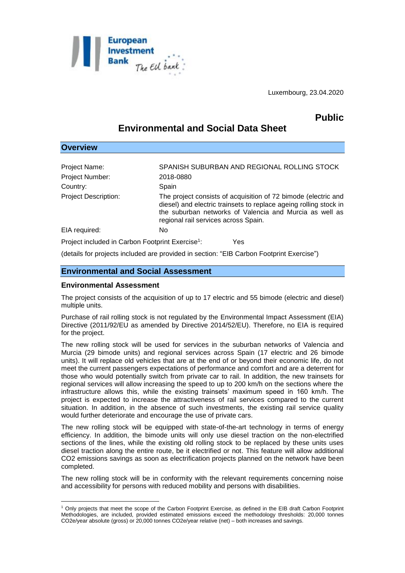

Luxembourg, 23.04.2020

## **Public**

# **Environmental and Social Data Sheet**

| <b>Overview</b>                                              |                                                                                                                                                                                                                                        |
|--------------------------------------------------------------|----------------------------------------------------------------------------------------------------------------------------------------------------------------------------------------------------------------------------------------|
|                                                              |                                                                                                                                                                                                                                        |
| Project Name:                                                | SPANISH SUBURBAN AND REGIONAL ROLLING STOCK                                                                                                                                                                                            |
| Project Number:                                              | 2018-0880                                                                                                                                                                                                                              |
| Country:                                                     | Spain                                                                                                                                                                                                                                  |
| <b>Project Description:</b>                                  | The project consists of acquisition of 72 bimode (electric and<br>diesel) and electric trainsets to replace ageing rolling stock in<br>the suburban networks of Valencia and Murcia as well as<br>regional rail services across Spain. |
| EIA required:                                                | No                                                                                                                                                                                                                                     |
| Project included in Carbon Footprint Exercise <sup>1</sup> : | Yes                                                                                                                                                                                                                                    |

(details for projects included are provided in section: "EIB Carbon Footprint Exercise")

## **Environmental and Social Assessment**

#### **Environmental Assessment**

<u>.</u>

The project consists of the acquisition of up to 17 electric and 55 bimode (electric and diesel) multiple units.

Purchase of rail rolling stock is not regulated by the Environmental Impact Assessment (EIA) Directive (2011/92/EU as amended by Directive 2014/52/EU). Therefore, no EIA is required for the project.

The new rolling stock will be used for services in the suburban networks of Valencia and Murcia (29 bimode units) and regional services across Spain (17 electric and 26 bimode units). It will replace old vehicles that are at the end of or beyond their economic life, do not meet the current passengers expectations of performance and comfort and are a deterrent for those who would potentially switch from private car to rail. In addition, the new trainsets for regional services will allow increasing the speed to up to 200 km/h on the sections where the infrastructure allows this, while the existing trainsets' maximum speed in 160 km/h. The project is expected to increase the attractiveness of rail services compared to the current situation. In addition, in the absence of such investments, the existing rail service quality would further deteriorate and encourage the use of private cars.

The new rolling stock will be equipped with state-of-the-art technology in terms of energy efficiency. In addition, the bimode units will only use diesel traction on the non-electrified sections of the lines, while the existing old rolling stock to be replaced by these units uses diesel traction along the entire route, be it electrified or not. This feature will allow additional CO2 emissions savings as soon as electrification projects planned on the network have been completed.

The new rolling stock will be in conformity with the relevant requirements concerning noise and accessibility for persons with reduced mobility and persons with disabilities.

<sup>1</sup> Only projects that meet the scope of the Carbon Footprint Exercise, as defined in the EIB draft Carbon Footprint Methodologies, are included, provided estimated emissions exceed the methodology thresholds: 20,000 tonnes CO2e/year absolute (gross) or 20,000 tonnes CO2e/year relative (net) – both increases and savings.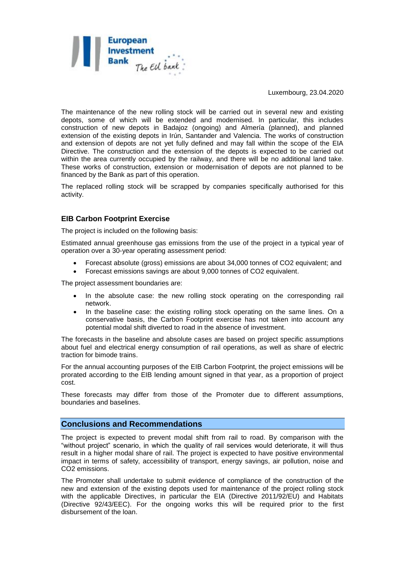

Luxembourg, 23.04.2020

The maintenance of the new rolling stock will be carried out in several new and existing depots, some of which will be extended and modernised. In particular, this includes construction of new depots in Badajoz (ongoing) and Almería (planned), and planned extension of the existing depots in Irún, Santander and Valencia. The works of construction and extension of depots are not yet fully defined and may fall within the scope of the EIA Directive. The construction and the extension of the depots is expected to be carried out within the area currently occupied by the railway, and there will be no additional land take. These works of construction, extension or modernisation of depots are not planned to be financed by the Bank as part of this operation.

The replaced rolling stock will be scrapped by companies specifically authorised for this activity.

### **EIB Carbon Footprint Exercise**

The project is included on the following basis:

Estimated annual greenhouse gas emissions from the use of the project in a typical year of operation over a 30-year operating assessment period:

- Forecast absolute (gross) emissions are about 34,000 tonnes of CO2 equivalent; and
- Forecast emissions savings are about 9,000 tonnes of CO2 equivalent.

The project assessment boundaries are:

- In the absolute case: the new rolling stock operating on the corresponding rail network.
- In the baseline case: the existing rolling stock operating on the same lines. On a conservative basis, the Carbon Footprint exercise has not taken into account any potential modal shift diverted to road in the absence of investment.

The forecasts in the baseline and absolute cases are based on project specific assumptions about fuel and electrical energy consumption of rail operations, as well as share of electric traction for bimode trains.

For the annual accounting purposes of the EIB Carbon Footprint, the project emissions will be prorated according to the EIB lending amount signed in that year, as a proportion of project cost.

These forecasts may differ from those of the Promoter due to different assumptions, boundaries and baselines.

#### **Conclusions and Recommendations**

The project is expected to prevent modal shift from rail to road. By comparison with the "without project" scenario, in which the quality of rail services would deteriorate, it will thus result in a higher modal share of rail. The project is expected to have positive environmental impact in terms of safety, accessibility of transport, energy savings, air pollution, noise and CO2 emissions.

The Promoter shall undertake to submit evidence of compliance of the construction of the new and extension of the existing depots used for maintenance of the project rolling stock with the applicable Directives, in particular the EIA (Directive 2011/92/EU) and Habitats (Directive 92/43/EEC). For the ongoing works this will be required prior to the first disbursement of the loan.